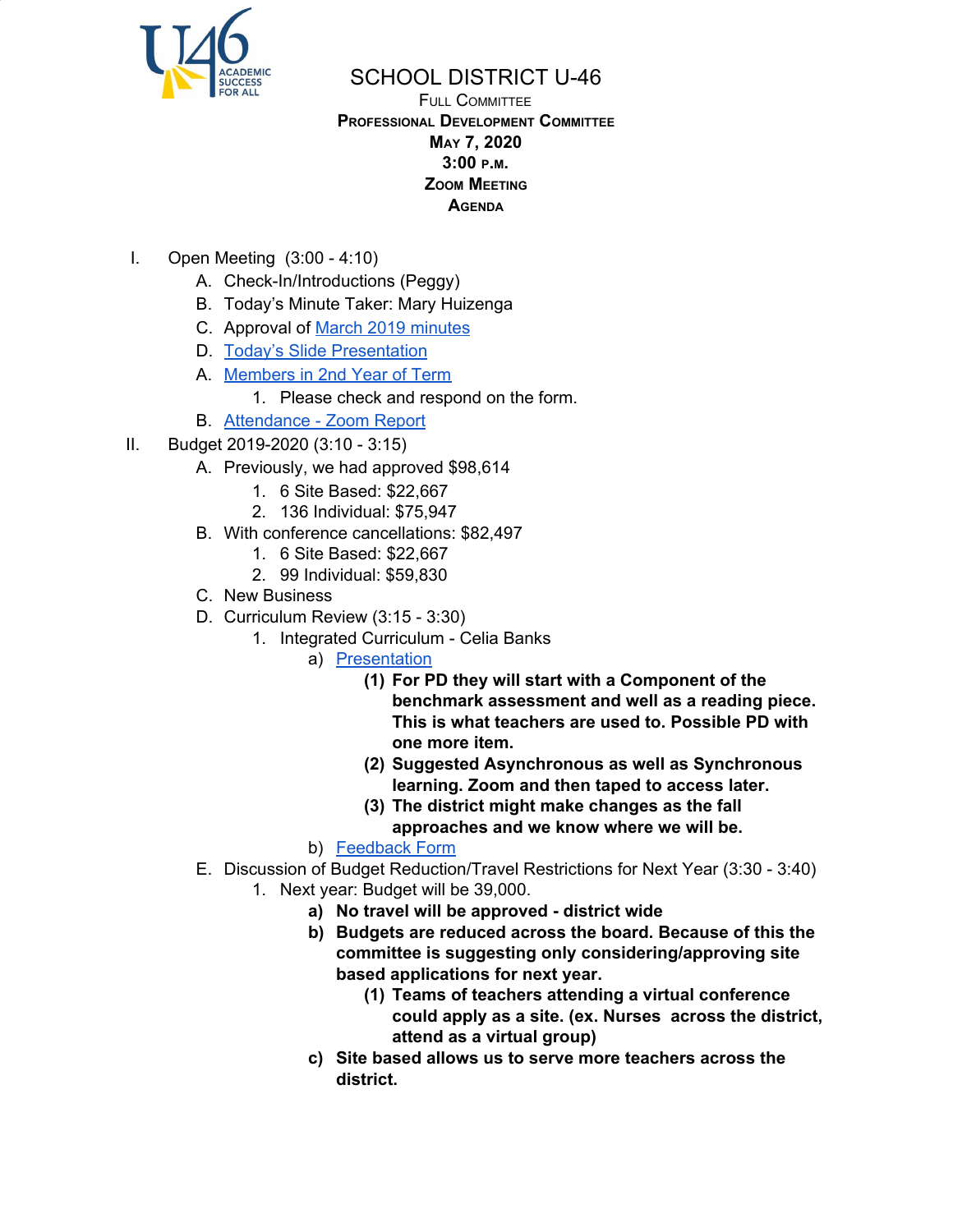

## SCHOOL DISTRICT U-46

## FULL COMMITTEE **PROFESSIONAL DEVELOPMENT COMMITTEE MAY 7, 2020 3:00 <sup>P</sup>.M. ZOOM MEETING AGENDA**

- I. Open Meeting (3:00 4:10)
	- A. Check-In/Introductions (Peggy)
	- B. Today's Minute Taker: Mary Huizenga
	- C. Approval of March 2019 [minutes](https://www.u-46.org/site/handlers/filedownload.ashx?moduleinstanceid=23441&dataid=47519&FileName=3-5-20%20Minutes%20FC%20.pdf)
	- D. Today's Slide [Presentation](https://docs.google.com/presentation/d/12t9PvcSnn_UvEq5On0M4k_Pdt8gh3_bMTPLzUs6Yv8M/edit?usp=sharing)
	- A. [Members](https://docs.google.com/document/d/1QHgXru52g8h_9RLAYLGha4ms79CM7Pv32y8wzCEqTM0/edit?usp=sharing) in 2nd Year of Term
		- 1. Please check and respond on the form.
	- B. [Attendance](https://drive.google.com/file/d/1zzNFFLDspsKh35hji-xI8dm-W7KHm0M8/view?usp=sharing) Zoom Report
- II. Budget 2019-2020 (3:10 3:15)
	- A. Previously, we had approved \$98,614
		- 1. 6 Site Based: \$22,667
		- 2. 136 Individual: \$75,947
	- B. With conference cancellations: \$82,497
		- 1. 6 Site Based: \$22,667
		- 2. 99 Individual: \$59,830
	- C. New Business
	- D. Curriculum Review (3:15 3:30)
		- 1. Integrated Curriculum Celia Banks
			- a) [Presentation](https://drive.google.com/file/d/1YXUXMLrwCfzrF_zyNQ74K69WG9DA3yfH/view?usp=sharing)
				- **(1) For PD they will start with a Component of the benchmark assessment and well as a reading piece. This is what teachers are used to. Possible PD with one more item.**
				- **(2) Suggested Asynchronous as well as Synchronous learning. Zoom and then taped to access later.**
				- **(3) The district might make changes as the fall approaches and we know where we will be.**
			- b) [Feedback](https://docs.google.com/forms/d/e/1FAIpQLScRznJtg0td74tddnxMj8Szb0i9ABxtBumqn6Tlh-Ae3O4MwQ/viewform?usp=sf_link) Form
	- E. Discussion of Budget Reduction/Travel Restrictions for Next Year (3:30 3:40)
		- 1. Next year: Budget will be 39,000.
			- **a) No travel will be approved - district wide**
			- **b) Budgets are reduced across the board. Because of this the committee is suggesting only considering/approving site based applications for next year.**
				- **(1) Teams of teachers attending a virtual conference could apply as a site. (ex. Nurses across the district, attend as a virtual group)**
			- **c) Site based allows us to serve more teachers across the district.**